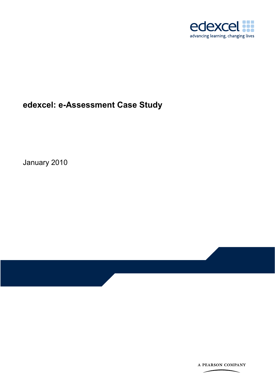

edexcel: e-Assessment Case Study

January 2010

A PEARSON COMPANY

 $\overline{\phantom{0}}$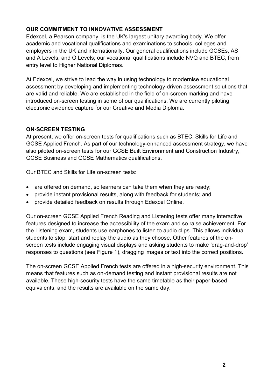# **OUR COMMITMENT TO INNOVATIVE ASSESSMENT**

Edexcel, a Pearson company, is the UK's largest unitary awarding body. We offer academic and vocational qualifications and examinations to schools, colleges and employers in the UK and internationally. Our general qualifications include GCSEs, AS and A Levels, and O Levels; our vocational qualifications include NVQ and BTEC, from entry level to Higher National Diplomas.

At Edexcel, we strive to lead the way in using technology to modernise educational assessment by developing and implementing technology-driven assessment solutions that are valid and reliable. We are established in the field of on-screen marking and have introduced on-screen testing in some of our qualifications. We are currently piloting electronic evidence capture for our Creative and Media Diploma.

#### **ON-SCREEN TESTING**

At present, we offer on-screen tests for qualifications such as BTEC, Skills for Life and GCSE Applied French. As part of our technology-enhanced assessment strategy, we have also piloted on-screen tests for our GCSE Built Environment and Construction Industry, GCSE Business and GCSE Mathematics qualifications.

Our BTEC and Skills for Life on-screen tests:

- are offered on demand, so learners can take them when they are ready;
- provide instant provisional results, along with feedback for students; and
- provide detailed feedback on results through Edexcel Online.

Our on-screen GCSE Applied French Reading and Listening tests offer many interactive features designed to increase the accessibility of the exam and so raise achievement. For the Listening exam, students use earphones to listen to audio clips. This allows individual students to stop, start and replay the audio as they choose. Other features of the onscreen tests include engaging visual displays and asking students to make 'drag-and-drop' responses to questions (see Figure 1), dragging images or text into the correct positions.

The on-screen GCSE Applied French tests are offered in a high-security environment. This means that features such as on-demand testing and instant provisional results are not available. These high-security tests have the same timetable as their paper-based equivalents, and the results are available on the same day.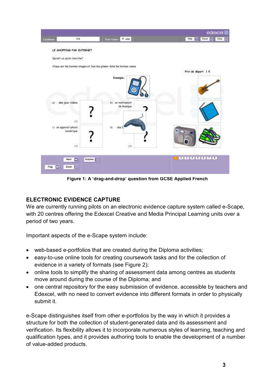

**Figure 1: A 'drag-and-drop' question from GCSE Applied French** 

# **ELECTRONIC EVIDENCE CAPTURE**

We are currently running pilots on an electronic evidence capture system called e-Scape, with 20 centres offering the Edexcel Creative and Media Principal Learning units over a period of two years.

Important aspects of the e-Scape system include:

- web-based e-portfolios that are created during the Diploma activities;
- easy-to-use online tools for creating coursework tasks and for the collection of evidence in a variety of formats (see Figure 2);
- online tools to simplify the sharing of assessment data among centres as students move around during the course of the Diploma; and
- one central repository for the easy submission of evidence, accessible by teachers and Edexcel, with no need to convert evidence into different formats in order to physically submit it.

e-Scape distinguishes itself from other e-portfolios by the way in which it provides a structure for both the collection of student-generated data and its assessment and verification. Its flexibility allows it to incorporate numerous styles of learning, teaching and qualification types, and it provides authoring tools to enable the development of a number of value-added products.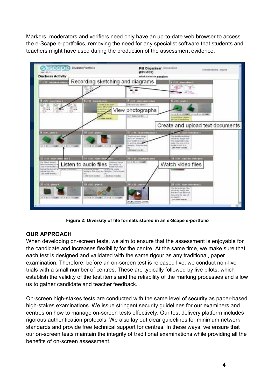Markers, moderators and verifiers need only have an up-to-date web browser to access the e-Scape e-portfolios, removing the need for any specialist software that students and teachers might have used during the production of the assessment evidence.



**Figure 2: Diversity of file formats stored in an e-Scape e-portfolio** 

# **OUR APPROACH**

When developing on-screen tests, we aim to ensure that the assessment is enjoyable for the candidate and increases flexibility for the centre. At the same time, we make sure that each test is designed and validated with the same rigour as any traditional, paper examination. Therefore, before an on-screen test is released live, we conduct non-live trials with a small number of centres. These are typically followed by live pilots, which establish the validity of the test items and the reliability of the marking processes and allow us to gather candidate and teacher feedback.

On-screen high-stakes tests are conducted with the same level of security as paper-based high-stakes examinations. We issue stringent security guidelines for our examiners and centres on how to manage on-screen tests effectively. Our test delivery platform includes rigorous authentication protocols. We also lay out clear guidelines for minimum network standards and provide free technical support for centres. In these ways, we ensure that our on-screen tests maintain the integrity of traditional examinations while providing all the benefits of on-screen assessment.